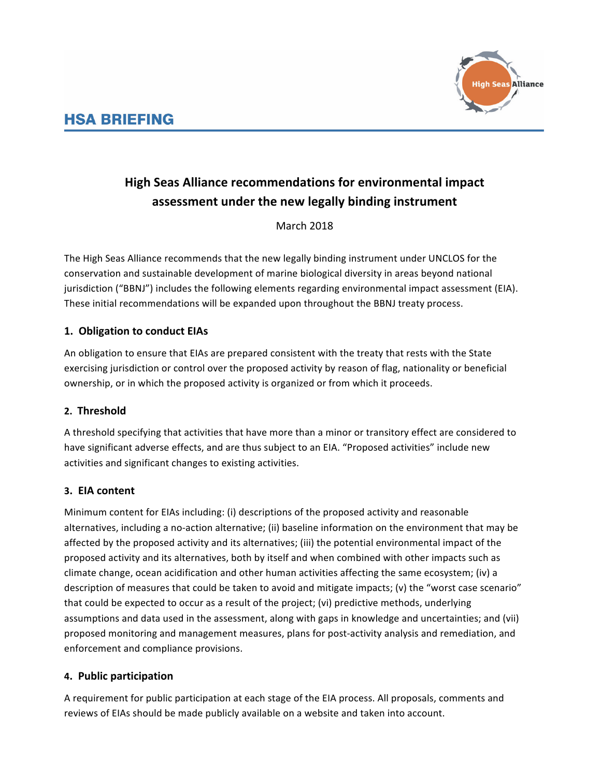

# **High Seas Alliance recommendations for environmental impact** assessment under the new legally binding instrument

March 2018

The High Seas Alliance recommends that the new legally binding instrument under UNCLOS for the conservation and sustainable development of marine biological diversity in areas beyond national jurisdiction ("BBNJ") includes the following elements regarding environmental impact assessment (EIA). These initial recommendations will be expanded upon throughout the BBNJ treaty process.

# **1. Obligation to conduct EIAs**

An obligation to ensure that EIAs are prepared consistent with the treaty that rests with the State exercising jurisdiction or control over the proposed activity by reason of flag, nationality or beneficial ownership, or in which the proposed activity is organized or from which it proceeds.

# **2. Threshold**

A threshold specifying that activities that have more than a minor or transitory effect are considered to have significant adverse effects, and are thus subject to an EIA. "Proposed activities" include new activities and significant changes to existing activities.

# **3. EIA content**

Minimum content for EIAs including: (i) descriptions of the proposed activity and reasonable alternatives, including a no-action alternative; (ii) baseline information on the environment that may be affected by the proposed activity and its alternatives; (iii) the potential environmental impact of the proposed activity and its alternatives, both by itself and when combined with other impacts such as climate change, ocean acidification and other human activities affecting the same ecosystem; (iv) a description of measures that could be taken to avoid and mitigate impacts; (v) the "worst case scenario" that could be expected to occur as a result of the project; (vi) predictive methods, underlying assumptions and data used in the assessment, along with gaps in knowledge and uncertainties; and (vii) proposed monitoring and management measures, plans for post-activity analysis and remediation, and enforcement and compliance provisions.

# **4. Public participation**

A requirement for public participation at each stage of the EIA process. All proposals, comments and reviews of EIAs should be made publicly available on a website and taken into account.